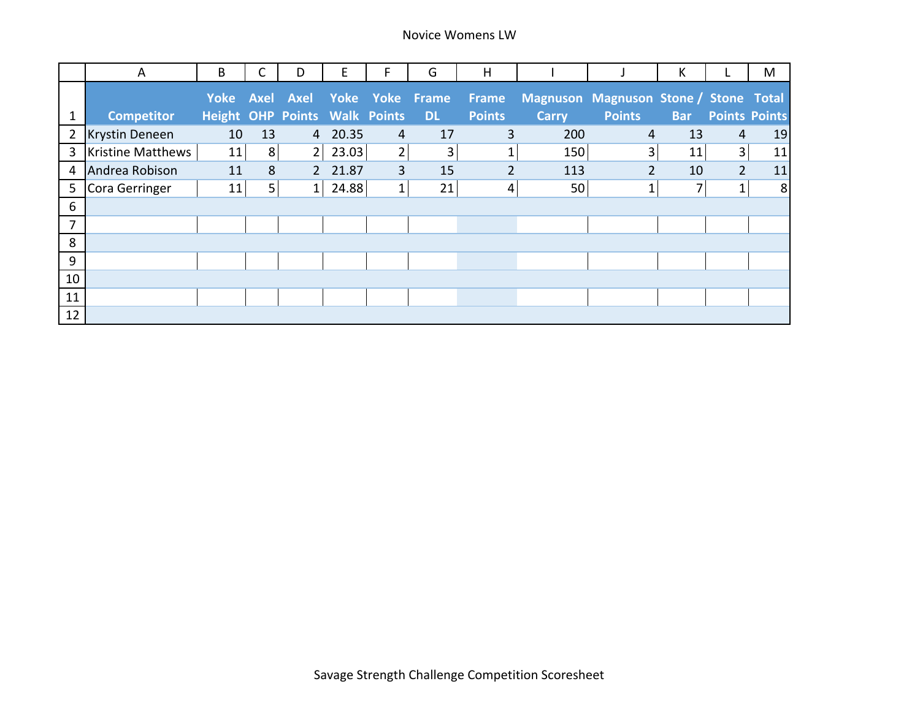|                | A                        | B                                    | С  | D              | E       | F.             | G                              | H              |              |                                       | К          |                      | M       |
|----------------|--------------------------|--------------------------------------|----|----------------|---------|----------------|--------------------------------|----------------|--------------|---------------------------------------|------------|----------------------|---------|
|                |                          |                                      |    |                |         |                | Yoke Axel Axel Yoke Yoke Frame | Frame          |              | Magnuson Magnuson Stone / Stone Total |            |                      |         |
|                | <b>Competitor</b>        | <b>Height OHP Points Walk Points</b> |    |                |         |                | <b>DL</b>                      | <b>Points</b>  | <b>Carry</b> | <b>Points</b>                         | <b>Bar</b> | <b>Points Points</b> |         |
| $\overline{2}$ | Krystin Deneen           | 10                                   | 13 |                | 4 20.35 | 4              | 17                             | 3              | 200          | 4                                     | 13         | 4                    | 19      |
| 3              | <b>Kristine Matthews</b> | 11                                   | 8  | 2 <sub>1</sub> | 23.03   | $\overline{2}$ | 3 <sub>l</sub>                 | 1              | 150          | 3                                     | 11         | $\overline{3}$       | 11      |
| 4              | Andrea Robison           | 11                                   | 8  |                | 2 21.87 | $\overline{3}$ | 15                             | $\overline{2}$ | 113          | $\overline{2}$                        | 10         | $\overline{2}$       | 11      |
| 5              | Cora Gerringer           | 11                                   | 5  | 1 <sub>1</sub> | 24.88   | $\mathbf{1}$   | 21                             | 4              | 50           | $\mathbf{1}$                          | 7          | $\mathbf{1}$         | $\,8\,$ |
| 6              |                          |                                      |    |                |         |                |                                |                |              |                                       |            |                      |         |
| 7              |                          |                                      |    |                |         |                |                                |                |              |                                       |            |                      |         |
| 8              |                          |                                      |    |                |         |                |                                |                |              |                                       |            |                      |         |
| 9              |                          |                                      |    |                |         |                |                                |                |              |                                       |            |                      |         |
| 10             |                          |                                      |    |                |         |                |                                |                |              |                                       |            |                      |         |
| 11             |                          |                                      |    |                |         |                |                                |                |              |                                       |            |                      |         |
| 12             |                          |                                      |    |                |         |                |                                |                |              |                                       |            |                      |         |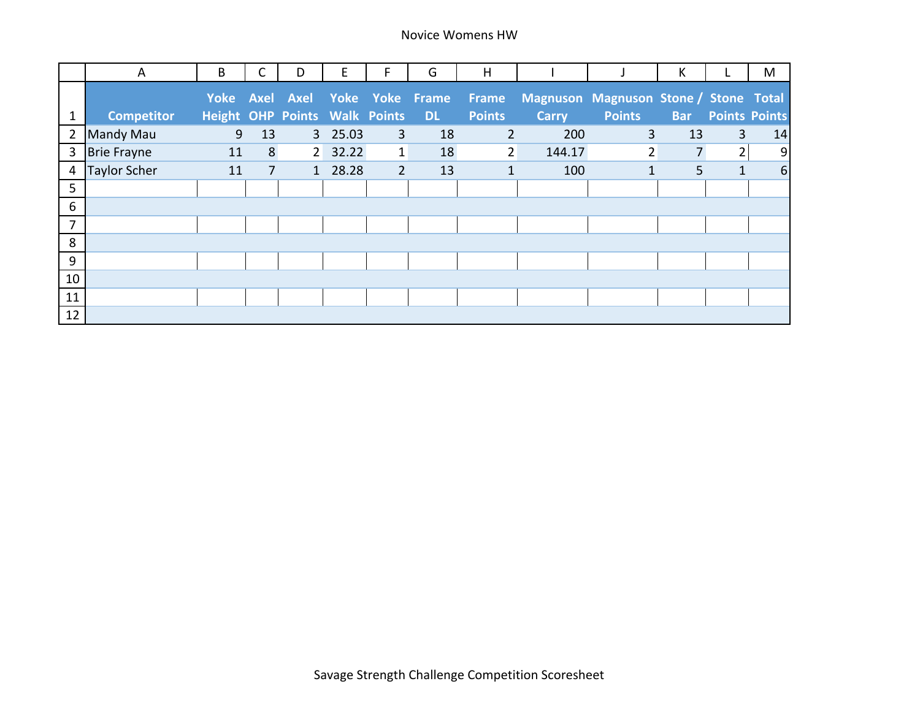|                | A                   | B                                    | С              | D | E       | F.           | G                              | H              |              |                                       | К          |                      | M  |
|----------------|---------------------|--------------------------------------|----------------|---|---------|--------------|--------------------------------|----------------|--------------|---------------------------------------|------------|----------------------|----|
|                |                     |                                      |                |   |         |              | Yoke Axel Axel Yoke Yoke Frame | Frame          |              | Magnuson Magnuson Stone / Stone Total |            |                      |    |
|                | <b>Competitor</b>   | <b>Height OHP Points Walk Points</b> |                |   |         |              | <b>DL</b>                      | <b>Points</b>  | <b>Carry</b> | <b>Points</b>                         | <b>Bar</b> | <b>Points Points</b> |    |
| $\overline{2}$ | <b>Mandy Mau</b>    | 9                                    | 13             |   | 3 25.03 | 3            | 18                             | $\overline{2}$ | 200          | $\overline{3}$                        | 13         | $\overline{3}$       | 14 |
| 3              | <b>Brie Frayne</b>  | 11                                   | 8              |   | 2 32.22 | $\mathbf{1}$ | 18                             | $\overline{2}$ | 144.17       | $\overline{2}$                        | 7          | 2                    | 9  |
| 4              | <b>Taylor Scher</b> | 11                                   | $\overline{7}$ |   | 1 28.28 | $2^{\circ}$  | 13                             | $\mathbf{1}$   | 100          | $\mathbf{1}$                          | 5          | $\mathbf{1}$         | 6  |
| 5              |                     |                                      |                |   |         |              |                                |                |              |                                       |            |                      |    |
| 6              |                     |                                      |                |   |         |              |                                |                |              |                                       |            |                      |    |
| 7              |                     |                                      |                |   |         |              |                                |                |              |                                       |            |                      |    |
| 8              |                     |                                      |                |   |         |              |                                |                |              |                                       |            |                      |    |
| 9              |                     |                                      |                |   |         |              |                                |                |              |                                       |            |                      |    |
| 10             |                     |                                      |                |   |         |              |                                |                |              |                                       |            |                      |    |
| 11             |                     |                                      |                |   |         |              |                                |                |              |                                       |            |                      |    |
| 12             |                     |                                      |                |   |         |              |                                |                |              |                                       |            |                      |    |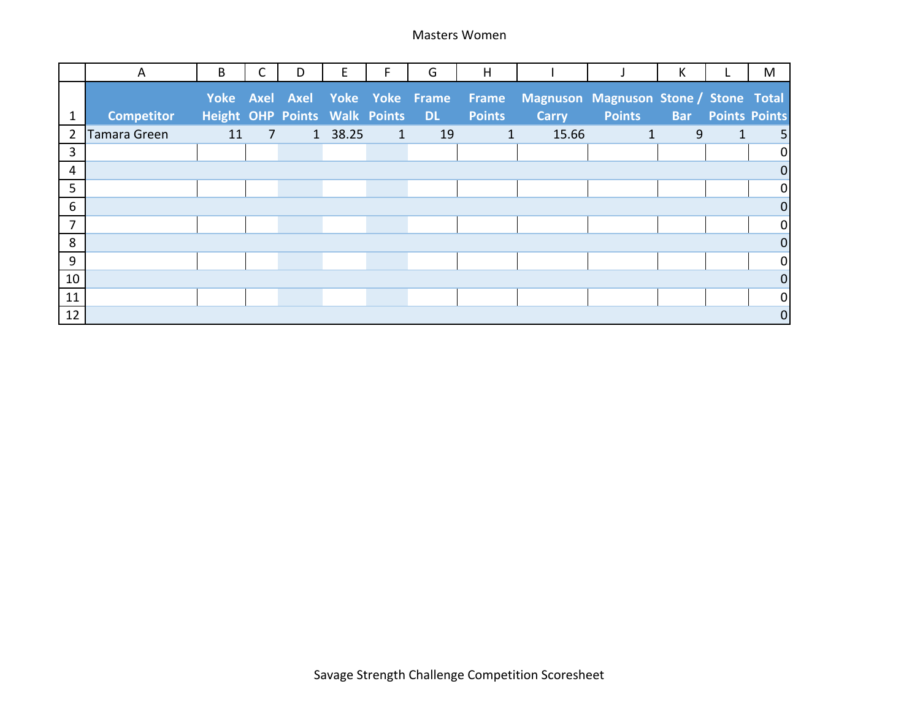|                | A                 | B                                    |                | D | E       | F            | G                                | H             |              |                                       | К          |              | M                    |
|----------------|-------------------|--------------------------------------|----------------|---|---------|--------------|----------------------------------|---------------|--------------|---------------------------------------|------------|--------------|----------------------|
|                |                   |                                      |                |   |         |              | Yoke Axel Axel Yoke Yoke Frame   | Frame         |              | Magnuson Magnuson Stone / Stone Total |            |              |                      |
|                | <b>Competitor</b> | <b>Height OHP Points Walk Points</b> |                |   |         |              | $\blacksquare$ DL $\blacksquare$ | <b>Points</b> | <b>Carry</b> | <b>Points</b>                         | <b>Bar</b> |              | <b>Points Points</b> |
| $\overline{2}$ | Tamara Green      | 11                                   | $\overline{7}$ |   | 1 38.25 | $\mathbf{1}$ | 19                               | $\mathbf{1}$  | 15.66        | $\mathbf{1}$                          | 9          | $\mathbf{1}$ | 5 <sub>l</sub>       |
| 3              |                   |                                      |                |   |         |              |                                  |               |              |                                       |            |              | $\overline{0}$       |
| 4              |                   |                                      |                |   |         |              |                                  |               |              |                                       |            |              | $\overline{0}$       |
| 5              |                   |                                      |                |   |         |              |                                  |               |              |                                       |            |              | $\overline{0}$       |
| 6              |                   |                                      |                |   |         |              |                                  |               |              |                                       |            |              | $\overline{0}$       |
| 7              |                   |                                      |                |   |         |              |                                  |               |              |                                       |            |              | $\overline{0}$       |
| 8              |                   |                                      |                |   |         |              |                                  |               |              |                                       |            |              | $\overline{0}$       |
| 9              |                   |                                      |                |   |         |              |                                  |               |              |                                       |            |              | $\overline{0}$       |
| 10             |                   |                                      |                |   |         |              |                                  |               |              |                                       |            |              | $\overline{0}$       |
| 11             |                   |                                      |                |   |         |              |                                  |               |              |                                       |            |              | $\overline{0}$       |
| 12             |                   |                                      |                |   |         |              |                                  |               |              |                                       |            |              | $\boldsymbol{0}$     |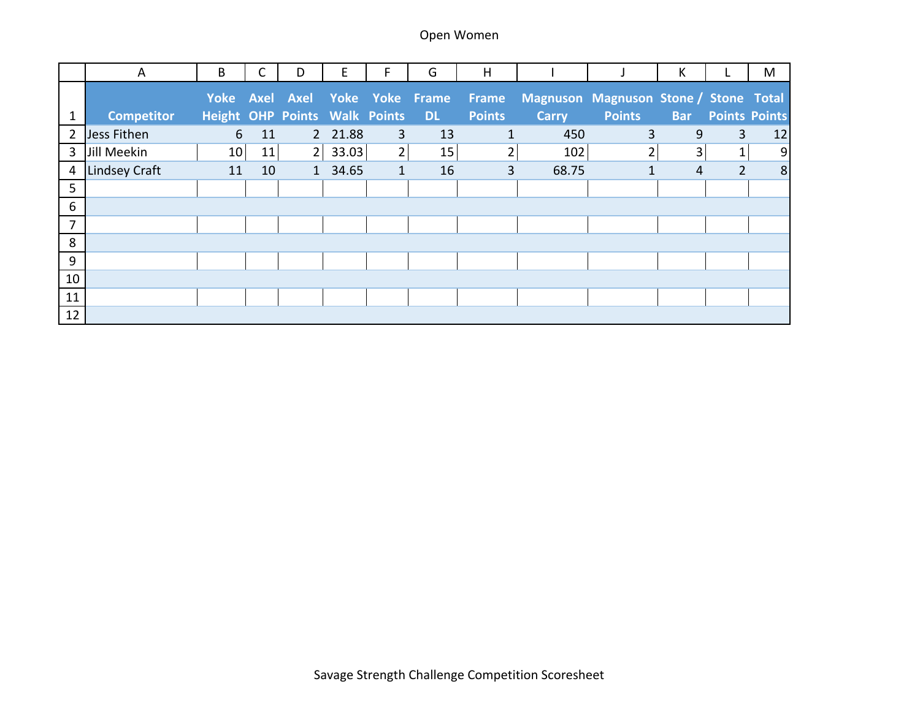|                | A                    | B                                    | С  | D | Е       | F.             | G                              | H             |              |                                       | К          |                | M                    |
|----------------|----------------------|--------------------------------------|----|---|---------|----------------|--------------------------------|---------------|--------------|---------------------------------------|------------|----------------|----------------------|
|                |                      |                                      |    |   |         |                | Yoke Axel Axel Yoke Yoke Frame | Frame         |              | Magnuson Magnuson Stone / Stone Total |            |                |                      |
|                | <b>Competitor</b>    | <b>Height OHP Points Walk Points</b> |    |   |         |                | <b>DL</b>                      | <b>Points</b> | <b>Carry</b> | <b>Points</b>                         | <b>Bar</b> |                | <b>Points Points</b> |
| $\overline{2}$ | Jess Fithen          | 6                                    | 11 |   | 2 21.88 | 3              | 13                             | $\mathbf{1}$  | 450          | 3                                     | 9          | 3              | 12                   |
| 3              | Jill Meekin          | 10                                   | 11 | 2 | 33.03   | $\overline{2}$ | 15                             | 2             | 102          |                                       | 3          | 1<br>T.        | $\overline{9}$       |
| 4              | <b>Lindsey Craft</b> | 11                                   | 10 |   | 1 34.65 | $\mathbf{1}$   | 16                             | 3             | 68.75        | 1                                     | 4          | $\overline{2}$ | 8                    |
| 5              |                      |                                      |    |   |         |                |                                |               |              |                                       |            |                |                      |
| 6              |                      |                                      |    |   |         |                |                                |               |              |                                       |            |                |                      |
| 7              |                      |                                      |    |   |         |                |                                |               |              |                                       |            |                |                      |
| 8              |                      |                                      |    |   |         |                |                                |               |              |                                       |            |                |                      |
| 9              |                      |                                      |    |   |         |                |                                |               |              |                                       |            |                |                      |
| 10             |                      |                                      |    |   |         |                |                                |               |              |                                       |            |                |                      |
| 11             |                      |                                      |    |   |         |                |                                |               |              |                                       |            |                |                      |
| 12             |                      |                                      |    |   |         |                |                                |               |              |                                       |            |                |                      |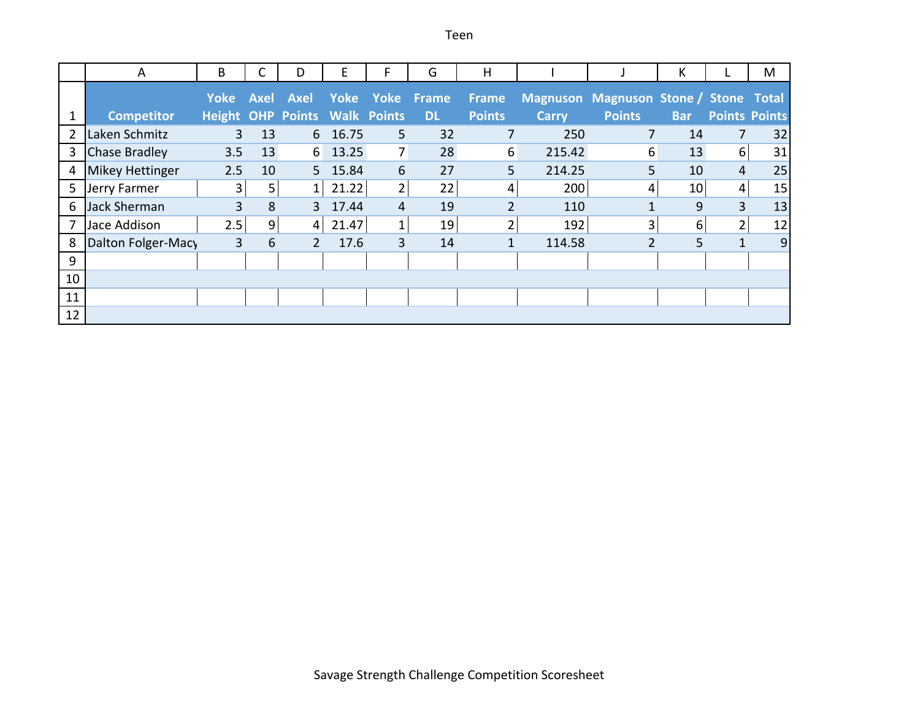Teen

|    | A                      | B                                    |      | D               | Е       | F              | G               | H              |              |                                       | К          |                      | M  |
|----|------------------------|--------------------------------------|------|-----------------|---------|----------------|-----------------|----------------|--------------|---------------------------------------|------------|----------------------|----|
|    |                        | <b>Yoke</b>                          | Axel | <b>Axel</b>     |         |                | Yoke Yoke Frame | <b>Frame</b>   |              | Magnuson Magnuson Stone / Stone Total |            |                      |    |
|    | <b>Competitor</b>      | <b>Height OHP Points Walk Points</b> |      |                 |         |                | <b>DL</b>       | <b>Points</b>  | <b>Carry</b> | <b>Points</b>                         | <b>Bar</b> | <b>Points Points</b> |    |
| 2  | Laken Schmitz          | $\overline{3}$                       | 13   |                 | 6 16.75 | 5              | 32              | 7              | 250          | $\overline{7}$                        | 14         | $\overline{7}$       | 32 |
| 3  | <b>Chase Bradley</b>   | 3.5                                  | 13   | $6 \mid$        | 13.25   | $\overline{7}$ | 28              | 6              | 215.42       | $6 \overline{6}$                      | 13         | 6 <sup>1</sup>       | 31 |
| 4  | <b>Mikey Hettinger</b> | 2.5                                  | 10   |                 | 5 15.84 | 6              | 27              | 5              | 214.25       | 5 <sup>1</sup>                        | 10         | 4                    | 25 |
| 5  | Jerry Farmer           | 3                                    | 5    | $1\overline{ }$ | 21.22   | $\overline{2}$ | 22              | 4              | 200          | 4                                     | 10         | $\overline{4}$       | 15 |
| 6  | Jack Sherman           | 3                                    | 8    | 3               | 17.44   | 4              | 19              | $\overline{2}$ | 110          |                                       | 9          | $\overline{3}$       | 13 |
|    | Jace Addison           | 2.5                                  | 9    | $\overline{4}$  | 21.47   | 1              | 19              | $\overline{2}$ | 192          | 3                                     | 6          | $\overline{2}$       | 12 |
| 8  | Dalton Folger-Macy     | 3                                    | 6    | $\overline{2}$  | 17.6    | 3              | 14              | $\mathbf{1}$   | 114.58       | $\overline{2}$                        | 5          | $\mathbf{1}$         | 9  |
| 9  |                        |                                      |      |                 |         |                |                 |                |              |                                       |            |                      |    |
| 10 |                        |                                      |      |                 |         |                |                 |                |              |                                       |            |                      |    |
| 11 |                        |                                      |      |                 |         |                |                 |                |              |                                       |            |                      |    |
| 12 |                        |                                      |      |                 |         |                |                 |                |              |                                       |            |                      |    |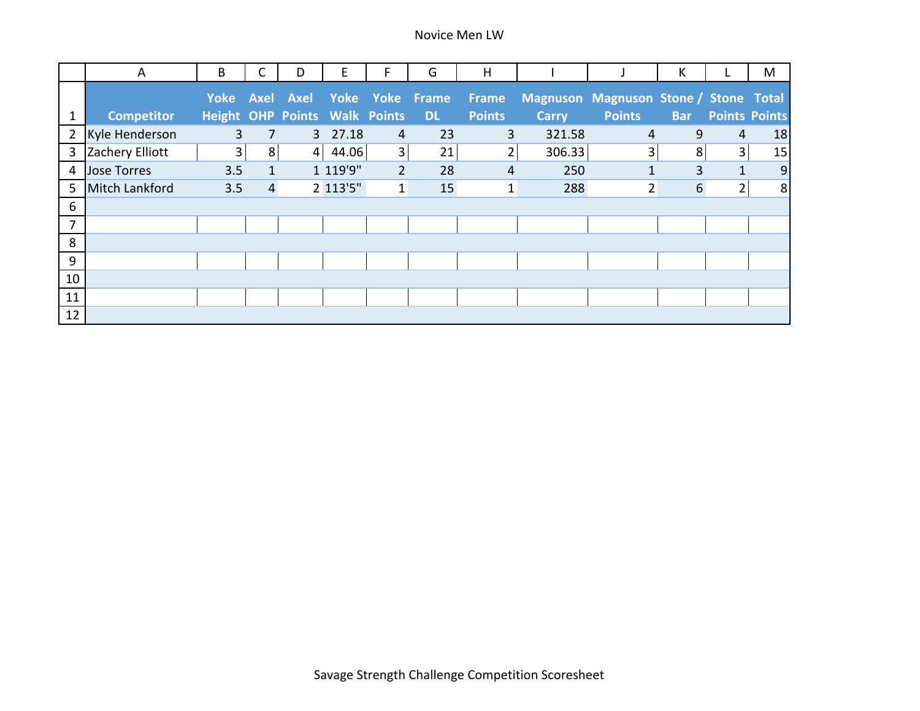|                | A                     | B                                    | С              | D | E        | F              | G                              | H              |              |                                       | К              |                | M                    |
|----------------|-----------------------|--------------------------------------|----------------|---|----------|----------------|--------------------------------|----------------|--------------|---------------------------------------|----------------|----------------|----------------------|
|                |                       |                                      |                |   |          |                | Yoke Axel Axel Yoke Yoke Frame | Frame          |              | Magnuson Magnuson Stone / Stone Total |                |                |                      |
| 1              | <b>Competitor</b>     | <b>Height OHP Points Walk Points</b> |                |   |          |                | <b>DL</b>                      | <b>Points</b>  | <b>Carry</b> | <b>Points</b>                         | <b>Bar</b>     |                | <b>Points Points</b> |
| $\overline{2}$ | Kyle Henderson        | 3                                    | 7              |   | 3 27.18  | 4              | 23                             | 3              | 321.58       | 4                                     | 9              | 4              | 18                   |
| 3              | Zachery Elliott       | 3 <sup>1</sup>                       | 8              | 4 | 44.06    | 3              | 21                             | 2              | 306.33       | 3                                     | 8              | 3              | 15                   |
| 4              | <b>Jose Torres</b>    | 3.5                                  | $\mathbf{1}$   |   | 1 119'9" | $\overline{2}$ | 28                             | $\overline{4}$ | 250          | 1                                     | $\overline{3}$ | $\mathbf{1}$   | $\overline{9}$       |
| 5              | <b>Mitch Lankford</b> | 3.5                                  | $\overline{4}$ |   | 2 113'5" | $\mathbf{1}$   | 15                             | 1              | 288          | 2                                     | $6\phantom{1}$ | $\overline{2}$ | 8                    |
| 6              |                       |                                      |                |   |          |                |                                |                |              |                                       |                |                |                      |
| $\overline{7}$ |                       |                                      |                |   |          |                |                                |                |              |                                       |                |                |                      |
| 8              |                       |                                      |                |   |          |                |                                |                |              |                                       |                |                |                      |
| 9              |                       |                                      |                |   |          |                |                                |                |              |                                       |                |                |                      |
| 10             |                       |                                      |                |   |          |                |                                |                |              |                                       |                |                |                      |
| 11             |                       |                                      |                |   |          |                |                                |                |              |                                       |                |                |                      |
| 12             |                       |                                      |                |   |          |                |                                |                |              |                                       |                |                |                      |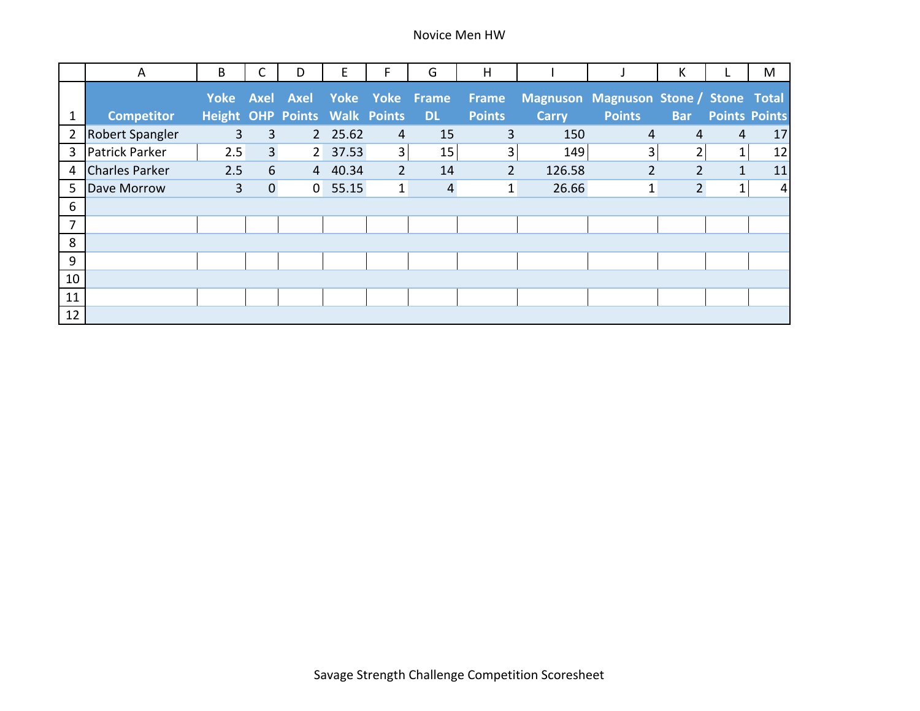|                | A                     | B                                    | С              | D | Е        | F.             | G                              | H              |              |                                       | К              |              | M                    |
|----------------|-----------------------|--------------------------------------|----------------|---|----------|----------------|--------------------------------|----------------|--------------|---------------------------------------|----------------|--------------|----------------------|
|                |                       |                                      |                |   |          |                | Yoke Axel Axel Yoke Yoke Frame | Frame          |              | Magnuson Magnuson Stone / Stone Total |                |              |                      |
|                | Competitor            | <b>Height OHP Points Walk Points</b> |                |   |          |                | <b>DL</b>                      | <b>Points</b>  | <b>Carry</b> | <b>Points</b>                         | <b>Bar</b>     |              | <b>Points Points</b> |
| $\overline{2}$ | Robert Spangler       | 3                                    | $\overline{3}$ |   | 2 25.62  | $\overline{4}$ | 15                             | 3              | 150          | 4                                     | 4              | 4            | 17                   |
| 3              | Patrick Parker        | 2.5                                  | $\overline{3}$ |   | 2 37.53  | $\overline{3}$ | 15                             | 3              | 149          | 3                                     | $\overline{2}$ | 1            | 12                   |
| 4              | <b>Charles Parker</b> | 2.5                                  | 6              |   | 4 40.34  | $\overline{2}$ | 14                             | $\overline{2}$ | 126.58       | $\overline{2}$                        | $\overline{2}$ | $\mathbf{1}$ | 11                   |
| 5              | Dave Morrow           | $\overline{3}$                       | $\overline{0}$ |   | 0, 55.15 | $\mathbf{1}$   | $\overline{4}$                 | $\mathbf{1}$   | 26.66        | $\mathbf{1}$                          | $\overline{2}$ | $\mathbf{1}$ | $\overline{4}$       |
| 6              |                       |                                      |                |   |          |                |                                |                |              |                                       |                |              |                      |
| $\overline{7}$ |                       |                                      |                |   |          |                |                                |                |              |                                       |                |              |                      |
| 8              |                       |                                      |                |   |          |                |                                |                |              |                                       |                |              |                      |
| 9              |                       |                                      |                |   |          |                |                                |                |              |                                       |                |              |                      |
| 10             |                       |                                      |                |   |          |                |                                |                |              |                                       |                |              |                      |
| 11             |                       |                                      |                |   |          |                |                                |                |              |                                       |                |              |                      |
| 12             |                       |                                      |                |   |          |                |                                |                |              |                                       |                |              |                      |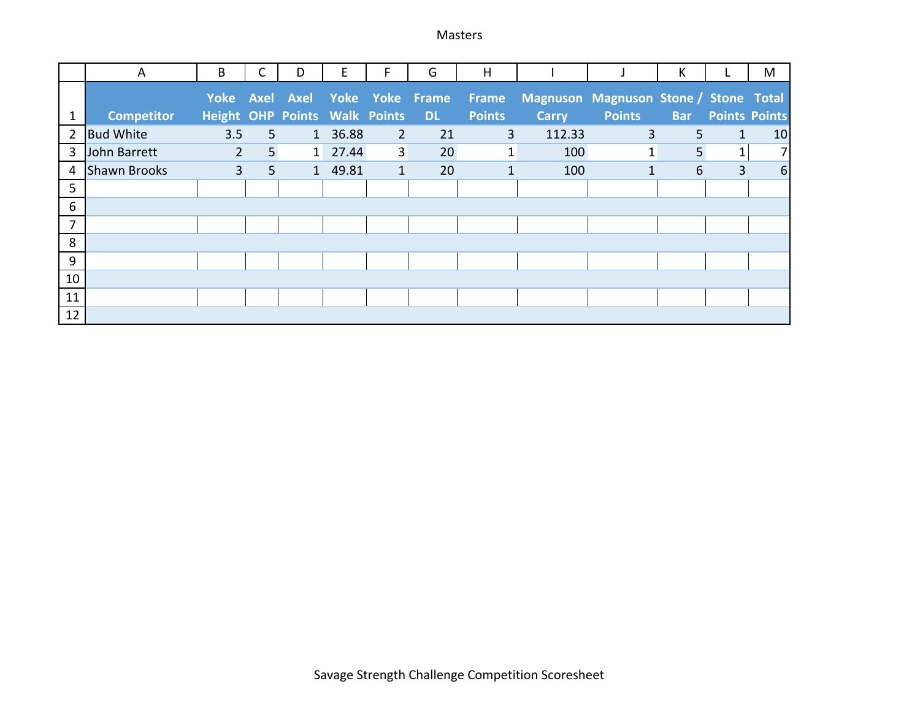Masters

|                | A                   | B                                    |                | D | E       | F.             | G                              | H             |              |                                       | К              |                      | M                |
|----------------|---------------------|--------------------------------------|----------------|---|---------|----------------|--------------------------------|---------------|--------------|---------------------------------------|----------------|----------------------|------------------|
|                |                     |                                      |                |   |         |                | Yoke Axel Axel Yoke Yoke Frame | Frame         |              | Magnuson Magnuson Stone / Stone Total |                |                      |                  |
|                | <b>Competitor</b>   | <b>Height OHP Points Walk Points</b> |                |   |         |                | <b>DL</b>                      | <b>Points</b> | <b>Carry</b> | <b>Points</b>                         | <b>Bar</b>     | <b>Points Points</b> |                  |
| 2              | <b>Bud White</b>    | 3.5                                  | 5 <sup>1</sup> |   | 1 36.88 | $\overline{2}$ | 21                             | 3             | 112.33       | 3                                     | 5 <sup>5</sup> | $\mathbf{1}$         | 10               |
| 3              | John Barrett        | $2^{\circ}$                          | 5 <sup>5</sup> |   | 1 27.44 | 3 <sup>1</sup> | 20                             | 1             | 100          | $\mathbf{1}$                          | 5              | 1                    | $\overline{7}$   |
| 4              | <b>Shawn Brooks</b> | $\overline{3}$                       | 5 <sup>5</sup> |   | 1 49.81 | $\mathbf{1}$   | 20                             | $\mathbf{1}$  | 100          | 1                                     | 6              | $\overline{3}$       | $\boldsymbol{6}$ |
| 5              |                     |                                      |                |   |         |                |                                |               |              |                                       |                |                      |                  |
| 6              |                     |                                      |                |   |         |                |                                |               |              |                                       |                |                      |                  |
| $\overline{7}$ |                     |                                      |                |   |         |                |                                |               |              |                                       |                |                      |                  |
| 8              |                     |                                      |                |   |         |                |                                |               |              |                                       |                |                      |                  |
| $9\,$          |                     |                                      |                |   |         |                |                                |               |              |                                       |                |                      |                  |
| 10             |                     |                                      |                |   |         |                |                                |               |              |                                       |                |                      |                  |
| 11             |                     |                                      |                |   |         |                |                                |               |              |                                       |                |                      |                  |
| 12             |                     |                                      |                |   |         |                |                                |               |              |                                       |                |                      |                  |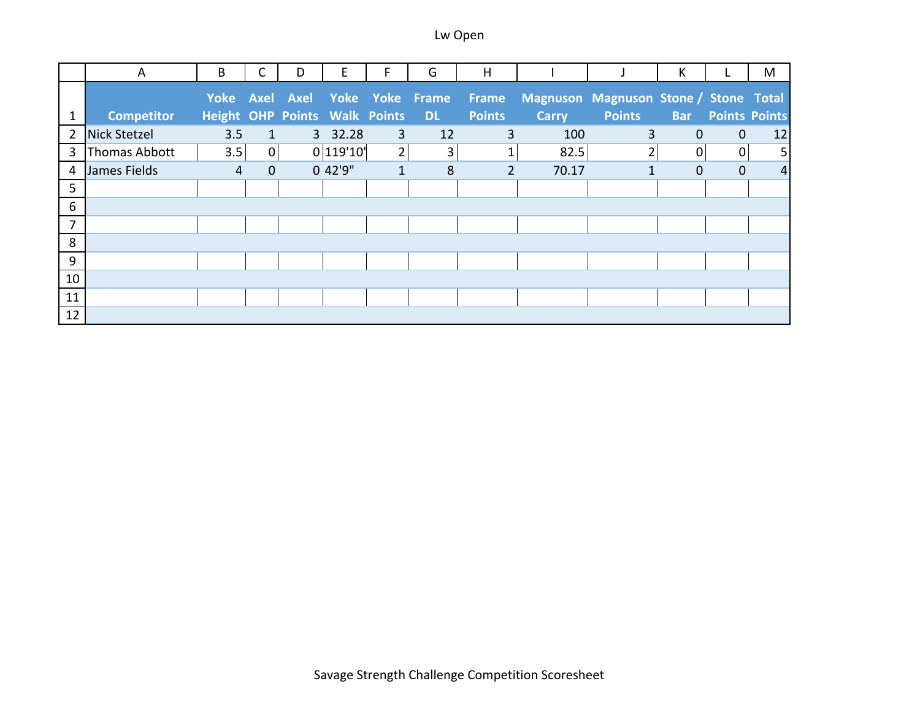|                | A                   | B                                    |                | D | E         | F.             | G                              | H              |              |                                       | К            |                      | M              |
|----------------|---------------------|--------------------------------------|----------------|---|-----------|----------------|--------------------------------|----------------|--------------|---------------------------------------|--------------|----------------------|----------------|
|                |                     |                                      |                |   |           |                | Yoke Axel Axel Yoke Yoke Frame | Frame          |              | Magnuson Magnuson Stone / Stone Total |              |                      |                |
|                | <b>Competitor</b>   | <b>Height OHP Points Walk Points</b> |                |   |           |                | <b>DL</b>                      | <b>Points</b>  | <b>Carry</b> | <b>Points</b>                         | <b>Bar</b>   | <b>Points Points</b> |                |
| $\overline{2}$ | <b>Nick Stetzel</b> | 3.5                                  | $\mathbf{1}$   |   | 3 32.28   | 3              | 12                             | 3              | 100          | 3                                     | $\mathbf{0}$ | $\overline{0}$       | 12             |
| 3              | Thomas Abbott       | 3.5                                  | $\overline{0}$ |   | 0 119'10' | 2 <sub>1</sub> | 3                              | $\mathbf{1}$   | 82.5         | 2                                     | $\Omega$     | 0                    | 5              |
| 4              | James Fields        | 4                                    | $\overline{0}$ |   | 0 42'9"   | $\mathbf{1}$   | 8                              | $\overline{2}$ | 70.17        |                                       | $\mathbf{0}$ | $\mathbf{0}$         | $\overline{4}$ |
| 5              |                     |                                      |                |   |           |                |                                |                |              |                                       |              |                      |                |
| 6              |                     |                                      |                |   |           |                |                                |                |              |                                       |              |                      |                |
| $\overline{7}$ |                     |                                      |                |   |           |                |                                |                |              |                                       |              |                      |                |
| 8              |                     |                                      |                |   |           |                |                                |                |              |                                       |              |                      |                |
| 9              |                     |                                      |                |   |           |                |                                |                |              |                                       |              |                      |                |
| 10             |                     |                                      |                |   |           |                |                                |                |              |                                       |              |                      |                |
| 11             |                     |                                      |                |   |           |                |                                |                |              |                                       |              |                      |                |
| 12             |                     |                                      |                |   |           |                |                                |                |              |                                       |              |                      |                |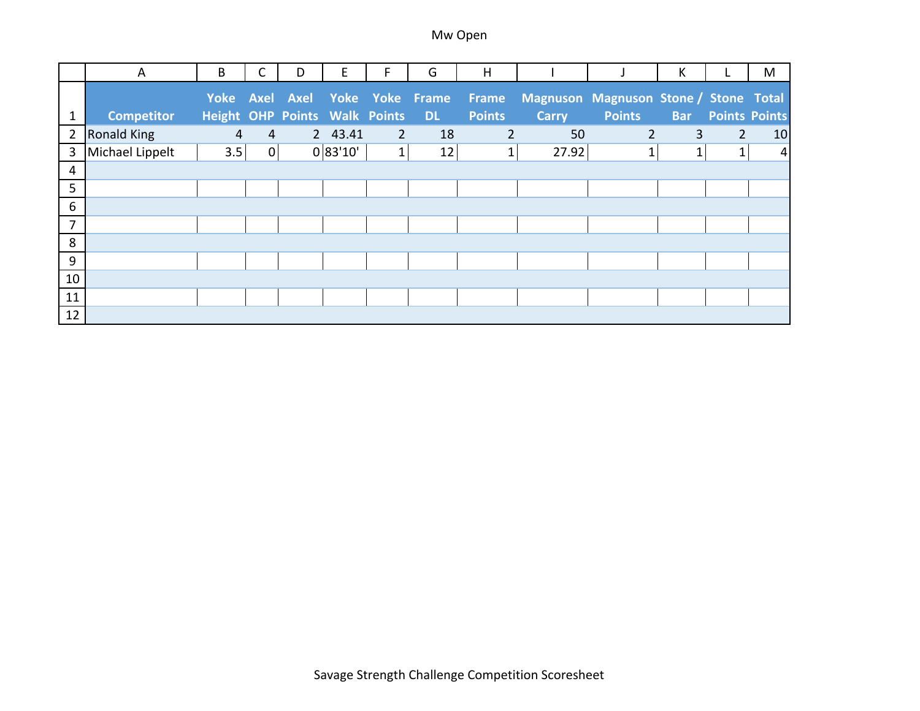|                | A                  | B                                    | С              | D | Е        | F              | G                              | H              |              |                                       | К            |                      | M              |
|----------------|--------------------|--------------------------------------|----------------|---|----------|----------------|--------------------------------|----------------|--------------|---------------------------------------|--------------|----------------------|----------------|
|                |                    |                                      |                |   |          |                | Yoke Axel Axel Yoke Yoke Frame | Frame          |              | Magnuson Magnuson Stone / Stone Total |              |                      |                |
|                | Competitor         | <b>Height OHP Points Walk Points</b> |                |   |          |                | <b>DL</b>                      | <b>Points</b>  | <b>Carry</b> | <b>Points</b>                         | <b>Bar</b>   | <b>Points Points</b> |                |
| $\overline{2}$ | <b>Ronald King</b> | 4                                    | $\overline{4}$ |   | 2 43.41  | $\overline{2}$ | 18                             | $\overline{2}$ | 50           | $\overline{2}$                        | 3            | $\overline{2}$       | 10             |
| 3              | Michael Lippelt    | 3.5                                  | 0              |   | 0 83'10' | 1              | 12                             | $\mathbf{1}$   | 27.92        |                                       | $\mathbf{1}$ | $\mathbf{1}$         | $\overline{4}$ |
| 4              |                    |                                      |                |   |          |                |                                |                |              |                                       |              |                      |                |
| 5              |                    |                                      |                |   |          |                |                                |                |              |                                       |              |                      |                |
| $6\,$          |                    |                                      |                |   |          |                |                                |                |              |                                       |              |                      |                |
| 7              |                    |                                      |                |   |          |                |                                |                |              |                                       |              |                      |                |
| 8              |                    |                                      |                |   |          |                |                                |                |              |                                       |              |                      |                |
| 9              |                    |                                      |                |   |          |                |                                |                |              |                                       |              |                      |                |
| 10             |                    |                                      |                |   |          |                |                                |                |              |                                       |              |                      |                |
| 11             |                    |                                      |                |   |          |                |                                |                |              |                                       |              |                      |                |
| 12             |                    |                                      |                |   |          |                |                                |                |              |                                       |              |                      |                |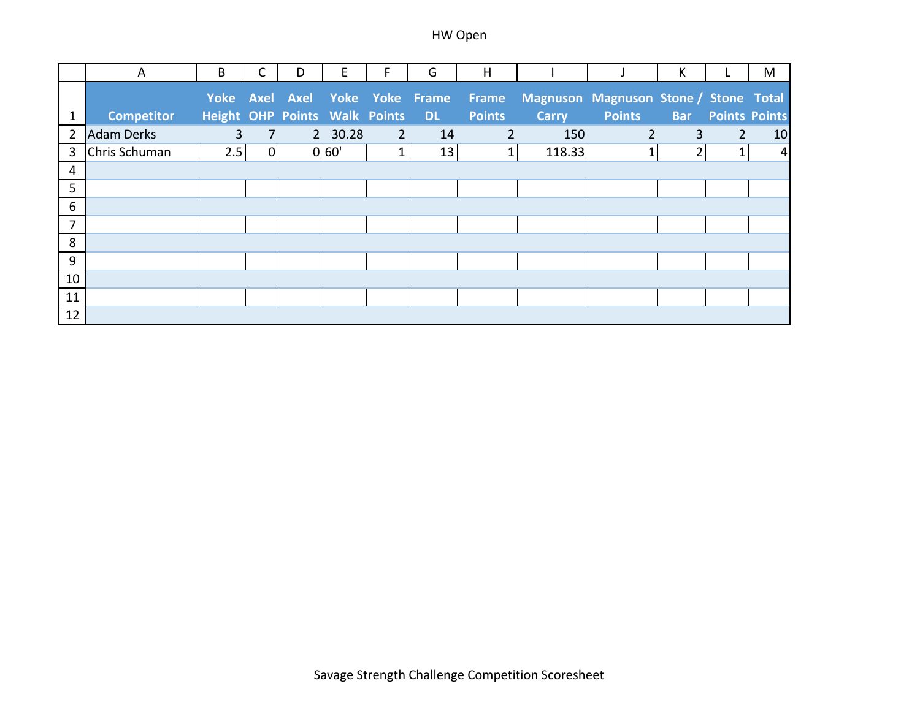|                | A                 | B                             |   | D | Е       | F              | G                              | H              |              |                                       | К              |                      | M              |
|----------------|-------------------|-------------------------------|---|---|---------|----------------|--------------------------------|----------------|--------------|---------------------------------------|----------------|----------------------|----------------|
|                |                   |                               |   |   |         |                | Yoke Axel Axel Yoke Yoke Frame | Frame          |              | Magnuson Magnuson Stone / Stone Total |                |                      |                |
| $\mathbf{1}$   | <b>Competitor</b> | Height OHP Points Walk Points |   |   |         |                | <b>DL</b>                      | <b>Points</b>  | <b>Carry</b> | <b>Points</b>                         | <b>Bar</b>     | <b>Points Points</b> |                |
| 2              | <b>Adam Derks</b> | 3                             | 7 |   | 2 30.28 | $\overline{2}$ | 14                             | $\overline{2}$ | 150          | $\overline{2}$                        | 3              | $\overline{2}$       | 10             |
| 3              | Chris Schuman     | 2.5                           | 0 |   | 0 60'   | $\mathbf{1}$   | 13                             | $\mathbf{1}$   | 118.33       |                                       | $\overline{2}$ | 1                    | $\overline{4}$ |
| $\overline{4}$ |                   |                               |   |   |         |                |                                |                |              |                                       |                |                      |                |
| 5              |                   |                               |   |   |         |                |                                |                |              |                                       |                |                      |                |
| 6              |                   |                               |   |   |         |                |                                |                |              |                                       |                |                      |                |
| $\overline{7}$ |                   |                               |   |   |         |                |                                |                |              |                                       |                |                      |                |
| 8              |                   |                               |   |   |         |                |                                |                |              |                                       |                |                      |                |
| 9              |                   |                               |   |   |         |                |                                |                |              |                                       |                |                      |                |
| $10\,$         |                   |                               |   |   |         |                |                                |                |              |                                       |                |                      |                |
| 11             |                   |                               |   |   |         |                |                                |                |              |                                       |                |                      |                |
| 12             |                   |                               |   |   |         |                |                                |                |              |                                       |                |                      |                |